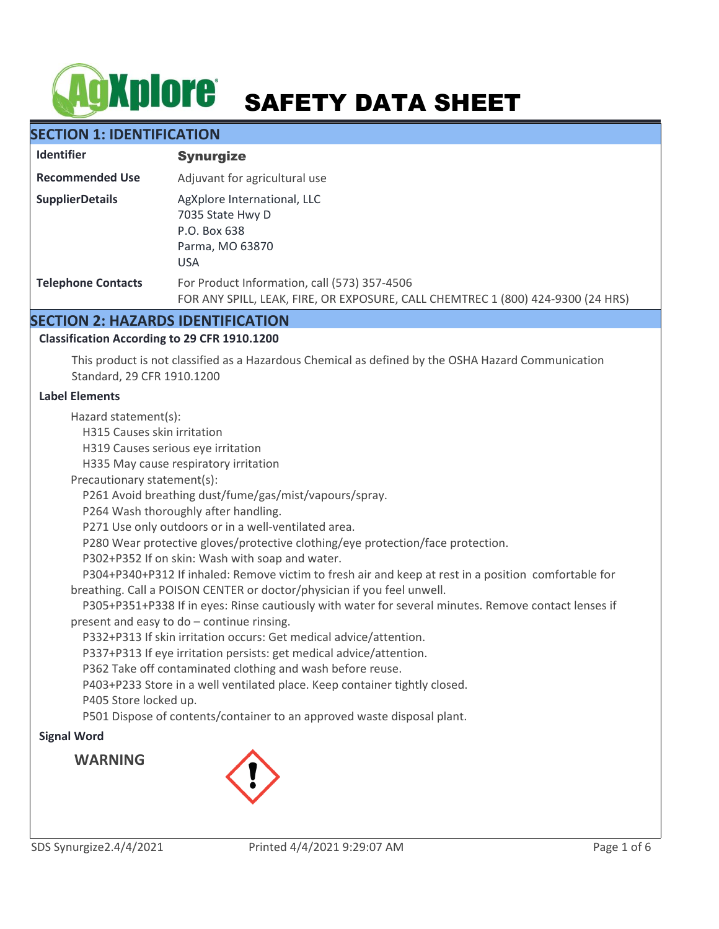# **AgXplore** SAFETY DATA SHEET

# **SECTION 1: IDENTIFICATION**

| <b>Identifier</b>         | <b>Synurgize</b>                                                                                                                |  |
|---------------------------|---------------------------------------------------------------------------------------------------------------------------------|--|
| <b>Recommended Use</b>    | Adjuvant for agricultural use                                                                                                   |  |
| <b>SupplierDetails</b>    | AgXplore International, LLC<br>7035 State Hwy D<br>P.O. Box 638<br>Parma, MO 63870<br><b>USA</b>                                |  |
| <b>Telephone Contacts</b> | For Product Information, call (573) 357-4506<br>FOR ANY SPILL, LEAK, FIRE, OR EXPOSURE, CALL CHEMTREC 1 (800) 424-9300 (24 HRS) |  |

# **SECTION 2: HAZARDS IDENTIFICATION**

### **Classification According to 29 CFR 1910.1200**

This product is not classified as a Hazardous Chemical as defined by the OSHA Hazard Communication Standard, 29 CFR 1910.1200

#### **Label Elements**

Hazard statement(s):

H315 Causes skin irritation

H319 Causes serious eye irritation

H335 May cause respiratory irritation

Precautionary statement(s):

P261 Avoid breathing dust/fume/gas/mist/vapours/spray.

P264 Wash thoroughly after handling.

P271 Use only outdoors or in a well-ventilated area.

P280 Wear protective gloves/protective clothing/eye protection/face protection.

P302+P352 If on skin: Wash with soap and water.

 P304+P340+P312 If inhaled: Remove victim to fresh air and keep at rest in a position comfortable for breathing. Call a POISON CENTER or doctor/physician if you feel unwell.

 P305+P351+P338 If in eyes: Rinse cautiously with water for several minutes. Remove contact lenses if present and easy to do – continue rinsing.

P332+P313 If skin irritation occurs: Get medical advice/attention.

P337+P313 If eye irritation persists: get medical advice/attention.

P362 Take off contaminated clothing and wash before reuse.

P403+P233 Store in a well ventilated place. Keep container tightly closed.

P405 Store locked up.

P501 Dispose of contents/container to an approved waste disposal plant.

# **Signal Word**

**WARNING**

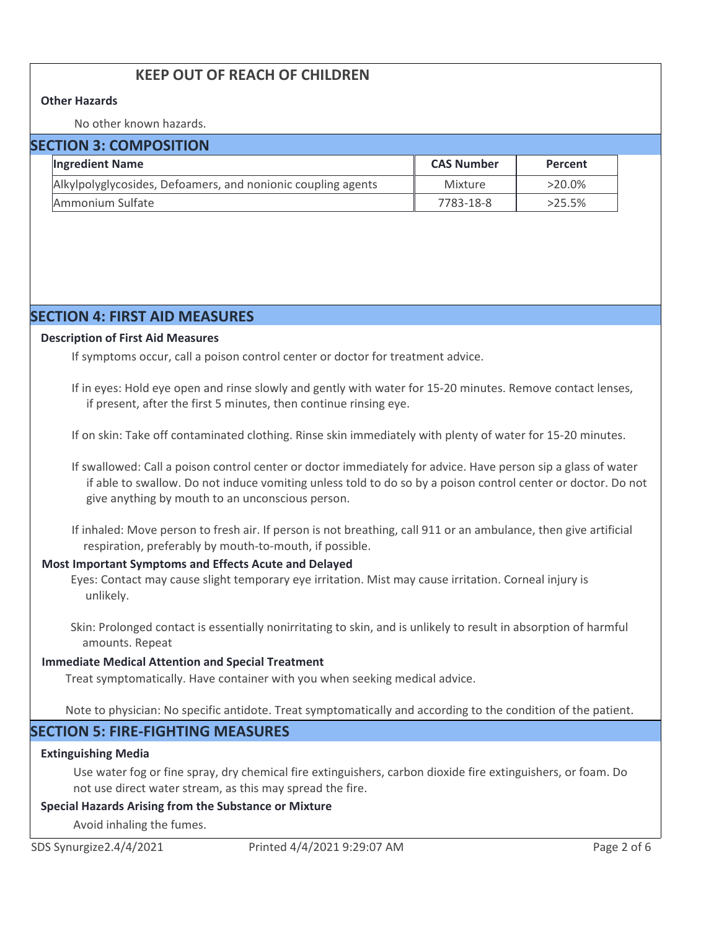# **KEEP OUT OF REACH OF CHILDREN**

#### **Other Hazards**

No other known hazards.

| <b>SECTION 3: COMPOSITION</b> |                                                              |                   |           |  |  |
|-------------------------------|--------------------------------------------------------------|-------------------|-----------|--|--|
|                               | <b>Ingredient Name</b>                                       | <b>CAS Number</b> | Percent   |  |  |
|                               | Alkylpolyglycosides, Defoamers, and nonionic coupling agents | Mixture           | $>20.0\%$ |  |  |
|                               | Ammonium Sulfate                                             | 7783-18-8         | $>25.5\%$ |  |  |

# **SECTION 4: FIRST AID MEASURES**

#### **Description of First Aid Measures**

If symptoms occur, call a poison control center or doctor for treatment advice.

If in eyes: Hold eye open and rinse slowly and gently with water for 15-20 minutes. Remove contact lenses, if present, after the first 5 minutes, then continue rinsing eye.

If on skin: Take off contaminated clothing. Rinse skin immediately with plenty of water for 15-20 minutes.

If swallowed: Call a poison control center or doctor immediately for advice. Have person sip a glass of water if able to swallow. Do not induce vomiting unless told to do so by a poison control center or doctor. Do not give anything by mouth to an unconscious person.

If inhaled: Move person to fresh air. If person is not breathing, call 911 or an ambulance, then give artificial respiration, preferably by mouth-to-mouth, if possible.

#### **Most Important Symptoms and Effects Acute and Delayed**

Eyes: Contact may cause slight temporary eye irritation. Mist may cause irritation. Corneal injury is unlikely.

Skin: Prolonged contact is essentially nonirritating to skin, and is unlikely to result in absorption of harmful amounts. Repeat

#### **Immediate Medical Attention and Special Treatment**

Treat symptomatically. Have container with you when seeking medical advice.

Note to physician: No specific antidote. Treat symptomatically and according to the condition of the patient.

# **SECTION 5: FIRE-FIGHTING MEASURES**

#### **Extinguishing Media**

Use water fog or fine spray, dry chemical fire extinguishers, carbon dioxide fire extinguishers, or foam. Do not use direct water stream, as this may spread the fire.

#### **Special Hazards Arising from the Substance or Mixture**

Avoid inhaling the fumes.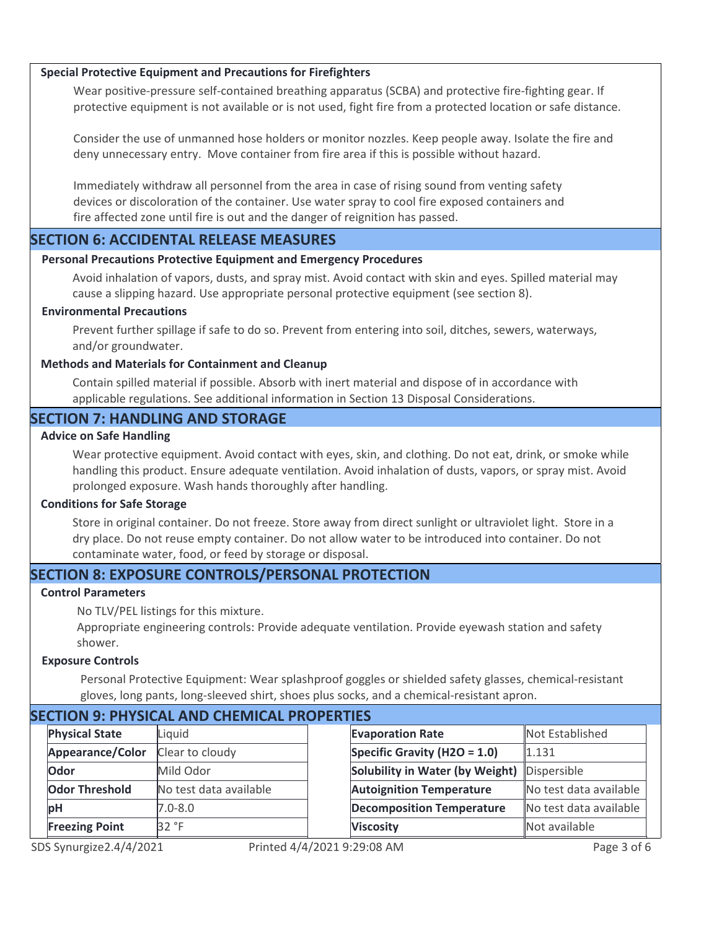#### **Special Protective Equipment and Precautions for Firefighters**

Wear positive-pressure self-contained breathing apparatus (SCBA) and protective fire-fighting gear. If protective equipment is not available or is not used, fight fire from a protected location or safe distance.

Consider the use of unmanned hose holders or monitor nozzles. Keep people away. Isolate the fire and deny unnecessary entry. Move container from fire area if this is possible without hazard.

Immediately withdraw all personnel from the area in case of rising sound from venting safety devices or discoloration of the container. Use water spray to cool fire exposed containers and fire affected zone until fire is out and the danger of reignition has passed.

# **SECTION 6: ACCIDENTAL RELEASE MEASURES**

#### **Personal Precautions Protective Equipment and Emergency Procedures**

Avoid inhalation of vapors, dusts, and spray mist. Avoid contact with skin and eyes. Spilled material may cause a slipping hazard. Use appropriate personal protective equipment (see section 8).

#### **Environmental Precautions**

Prevent further spillage if safe to do so. Prevent from entering into soil, ditches, sewers, waterways, and/or groundwater.

#### **Methods and Materials for Containment and Cleanup**

Contain spilled material if possible. Absorb with inert material and dispose of in accordance with applicable regulations. See additional information in Section 13 Disposal Considerations.

# **SECTION 7: HANDLING AND STORAGE**

#### **Advice on Safe Handling**

Wear protective equipment. Avoid contact with eyes, skin, and clothing. Do not eat, drink, or smoke while handling this product. Ensure adequate ventilation. Avoid inhalation of dusts, vapors, or spray mist. Avoid prolonged exposure. Wash hands thoroughly after handling.

#### **Conditions for Safe Storage**

Store in original container. Do not freeze. Store away from direct sunlight or ultraviolet light. Store in a dry place. Do not reuse empty container. Do not allow water to be introduced into container. Do not contaminate water, food, or feed by storage or disposal.

# **SECTION 8: EXPOSURE CONTROLS/PERSONAL PROTECTION**

#### **Control Parameters**

No TLV/PEL listings for this mixture.

Appropriate engineering controls: Provide adequate ventilation. Provide eyewash station and safety shower.

#### **Exposure Controls**

Personal Protective Equipment: Wear splashproof goggles or shielded safety glasses, chemical-resistant gloves, long pants, long-sleeved shirt, shoes plus socks, and a chemical-resistant apron.

| SECTION 9. PHTSICAL AND CHEMICAL PROPERTIES |                       |                        |  |                                  |                        |
|---------------------------------------------|-----------------------|------------------------|--|----------------------------------|------------------------|
|                                             | <b>Physical State</b> | Liquid                 |  | <b>Evaporation Rate</b>          | Not Established        |
|                                             | Appearance/Color      | Clear to cloudy        |  | Specific Gravity (H2O = $1.0$ )  | 1.131                  |
|                                             | Odor                  | Mild Odor              |  | Solubility in Water (by Weight)  | Dispersible            |
|                                             | <b>Odor Threshold</b> | No test data available |  | <b>Autoignition Temperature</b>  | No test data available |
|                                             | <b>bH</b>             | $7.0 - 8.0$            |  | <b>Decomposition Temperature</b> | No test data available |
|                                             | <b>Freezing Point</b> | 32 °F                  |  | <b>Viscosity</b>                 | Not available          |
|                                             |                       |                        |  |                                  |                        |

# **SECTION 9: PHYSICAL AND CHEMICAL PROPERTIES**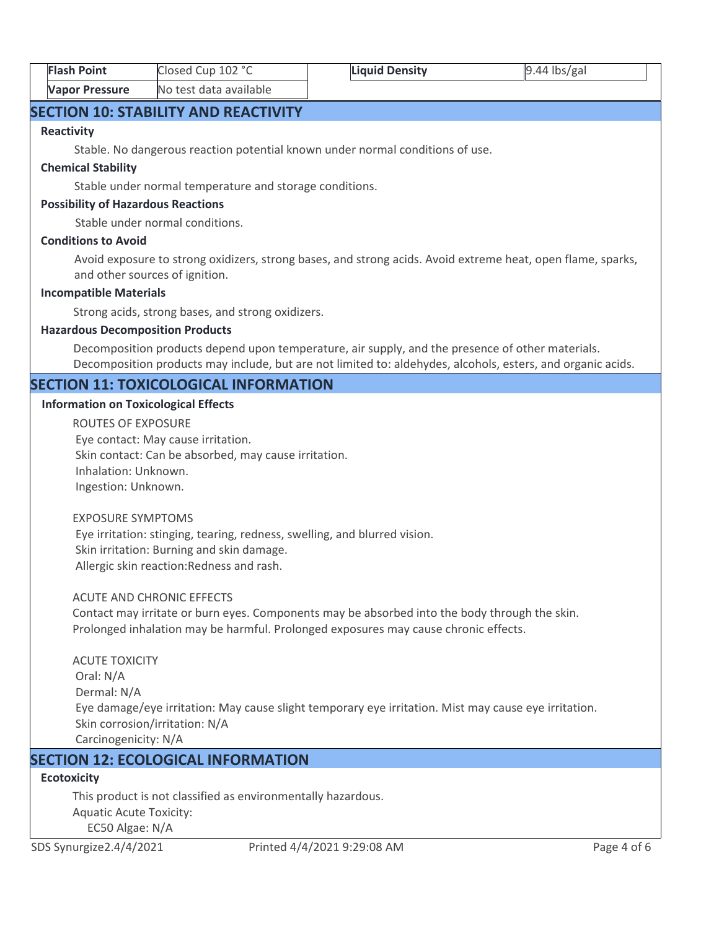| <b>Flash Point</b>    | Closed Cup 102 °C      | <b>Liquid Density</b> | $9.44$ lbs/gal |
|-----------------------|------------------------|-----------------------|----------------|
| <b>Vapor Pressure</b> | No test data available |                       |                |

# **SECTION 10: STABILITY AND REACTIVITY**

#### **Reactivity**

Stable. No dangerous reaction potential known under normal conditions of use.

#### **Chemical Stability**

Stable under normal temperature and storage conditions.

#### **Possibility of Hazardous Reactions**

Stable under normal conditions.

#### **Conditions to Avoid**

Avoid exposure to strong oxidizers, strong bases, and strong acids. Avoid extreme heat, open flame, sparks, and other sources of ignition.

#### **Incompatible Materials**

Strong acids, strong bases, and strong oxidizers.

#### **Hazardous Decomposition Products**

Decomposition products depend upon temperature, air supply, and the presence of other materials. Decomposition products may include, but are not limited to: aldehydes, alcohols, esters, and organic acids.

# **SECTION 11: TOXICOLOGICAL INFORMATION**

#### **Information on Toxicological Effects**

ROUTES OF EXPOSURE Eye contact: May cause irritation. Skin contact: Can be absorbed, may cause irritation. Inhalation: Unknown. Ingestion: Unknown.

#### EXPOSURE SYMPTOMS

 Eye irritation: stinging, tearing, redness, swelling, and blurred vision. Skin irritation: Burning and skin damage. Allergic skin reaction:Redness and rash.

#### ACUTE AND CHRONIC EFFECTS

Contact may irritate or burn eyes. Components may be absorbed into the body through the skin. Prolonged inhalation may be harmful. Prolonged exposures may cause chronic effects.

ACUTE TOXICITY Oral: N/A Dermal: N/A Eye damage/eye irritation: May cause slight temporary eye irritation. Mist may cause eye irritation. Skin corrosion/irritation: N/A Carcinogenicity: N/A

# **SECTION 12: ECOLOGICAL INFORMATION**

# **Ecotoxicity**

This product is not classified as environmentally hazardous. Aquatic Acute Toxicity: EC50 Algae: N/A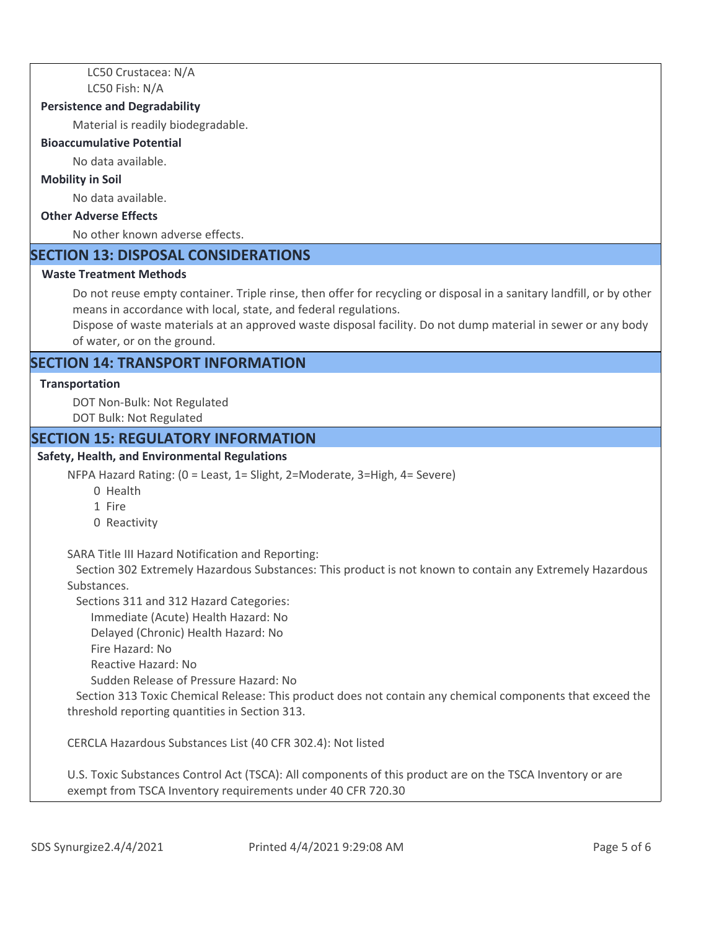LC50 Crustacea: N/A LC50 Fish: N/A

#### **Persistence and Degradability**

Material is readily biodegradable.

#### **Bioaccumulative Potential**

No data available.

#### **Mobility in Soil**

No data available.

# **Other Adverse Effects**

No other known adverse effects.

# **SECTION 13: DISPOSAL CONSIDERATIONS**

#### **Waste Treatment Methods**

Do not reuse empty container. Triple rinse, then offer for recycling or disposal in a sanitary landfill, or by other means in accordance with local, state, and federal regulations.

Dispose of waste materials at an approved waste disposal facility. Do not dump material in sewer or any body of water, or on the ground.

# **SECTION 14: TRANSPORT INFORMATION**

#### **Transportation**

DOT Non-Bulk: Not Regulated DOT Bulk: Not Regulated

#### **SECTION 15: REGULATORY INFORMATION**

#### **Safety, Health, and Environmental Regulations**

NFPA Hazard Rating: (0 = Least, 1= Slight, 2=Moderate, 3=High, 4= Severe)

- 0 Health
- 1 Fire
- 0 Reactivity

SARA Title III Hazard Notification and Reporting:

 Section 302 Extremely Hazardous Substances: This product is not known to contain any Extremely Hazardous Substances.

Sections 311 and 312 Hazard Categories:

Immediate (Acute) Health Hazard: No

Delayed (Chronic) Health Hazard: No

- Fire Hazard: No
- Reactive Hazard: No

Sudden Release of Pressure Hazard: No

 Section 313 Toxic Chemical Release: This product does not contain any chemical components that exceed the threshold reporting quantities in Section 313.

CERCLA Hazardous Substances List (40 CFR 302.4): Not listed

U.S. Toxic Substances Control Act (TSCA): All components of this product are on the TSCA Inventory or are exempt from TSCA Inventory requirements under 40 CFR 720.30